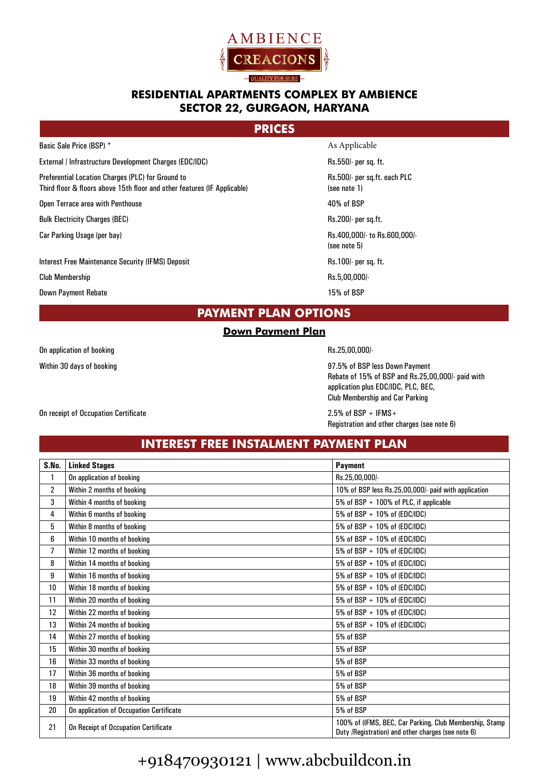

### **RESIDENTIAL APARTMENTS COMPLEX BY AMBIENCE SECTOR 22, GURGAON, HARYANA**

### **PRICES**

Basic Sale Price (BSP) \* As Applicable

External / Infrastructure Development Charges (EDC/IDC) external / Infrastructure Development Charges (EDC/IDC)

Preferential Location Charges (PLC) for Ground to Rs.500/- per sq.ft. each PLC

Third floor & floors above 15th floor and other features (IF Applicable) (see note 1)

Open Terrace area with Penthouse  $40\%$  of BSP

Bulk Electricity Charges (BEC) and the control of the control of the RS.200/- per sq.ft.

Interest Free Maintenance Security (IFMS) Deposit Assets Assets and the Rs.100/- per sq. ft.

Club Membership Rs.5,00,000/-

Down Payment Rebate 15% of BSP and the United States 15% of BSP

Car Parking Usage (per bay)  $Rs.400,000$  to Rs.600,000/-(see note 5)

### **PAYMENT PLAN OPTIONS**

### **Down Payment Plan**

On application of booking example of the control of the Rs.25,00,000/-

Within 30 days of booking 97.5% of BSP less Down Payment Rebate of 15% of BSP and Rs.25,00,000/- paid with application plus EDC/IDC, PLC, BEC, Club Membership and Car Parking

Registration and other charges (see note 6)

## **INTEREST FREE INSTALMENT PAYMENT PLAN**

| S.No. | <b>Linked Stages</b>                     | <b>Payment</b>                                                                                                |
|-------|------------------------------------------|---------------------------------------------------------------------------------------------------------------|
| 1     | On application of booking                | Rs.25.00.000/-                                                                                                |
| 2     | Within 2 months of booking               | 10% of BSP less Rs.25,00,000/- paid with application                                                          |
| 3     | Within 4 months of booking               | 5% of BSP + 100% of PLC, if applicable                                                                        |
| 4     | Within 6 months of booking               | 5% of BSP + 10% of (EDC/IDC)                                                                                  |
| 5     | Within 8 months of booking               | 5% of BSP + 10% of (EDC/IDC)                                                                                  |
| 6     | Within 10 months of booking              | 5% of BSP + 10% of (EDC/IDC)                                                                                  |
| 7     | Within 12 months of booking              | 5% of BSP + 10% of (EDC/IDC)                                                                                  |
| 8     | Within 14 months of booking              | 5% of BSP + 10% of (EDC/IDC)                                                                                  |
| 9     | Within 16 months of booking              | 5% of BSP + 10% of (EDC/IDC)                                                                                  |
| 10    | Within 18 months of booking              | 5% of BSP + 10% of (EDC/IDC)                                                                                  |
| 11    | Within 20 months of booking              | 5% of BSP + 10% of (EDC/IDC)                                                                                  |
| 12    | Within 22 months of booking              | 5% of BSP + 10% of (EDC/IDC)                                                                                  |
| 13    | Within 24 months of booking              | 5% of BSP + 10% of (EDC/IDC)                                                                                  |
| 14    | Within 27 months of booking              | 5% of BSP                                                                                                     |
| 15    | Within 30 months of booking              | 5% of BSP                                                                                                     |
| 16    | Within 33 months of booking              | 5% of BSP                                                                                                     |
| 17    | Within 36 months of booking              | 5% of BSP                                                                                                     |
| 18    | Within 39 months of booking              | 5% of BSP                                                                                                     |
| 19    | Within 42 months of booking              | 5% of BSP                                                                                                     |
| 20    | On application of Occupation Certificate | 5% of BSP                                                                                                     |
| 21    | On Receipt of Occupation Certificate     | 100% of (IFMS, BEC, Car Parking, Club Membership, Stamp<br>Duty /Registration) and other charges (see note 6) |

# +918470930121 | www.abcbuildcon.in

On receipt of Occupation Certificate 2.5% of BSP + IFMS+